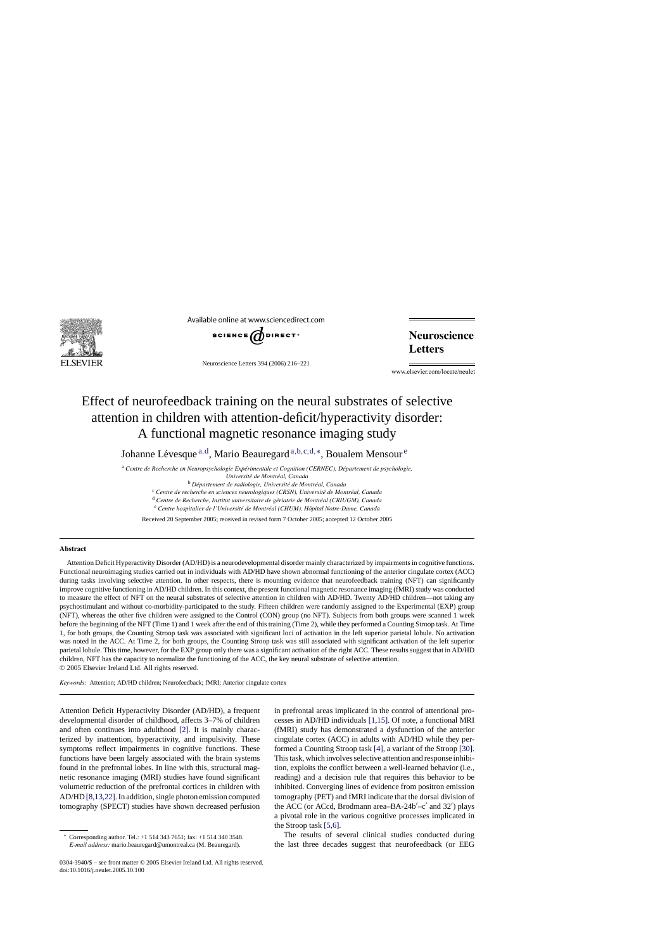

Available online at www.sciencedirect.com



Neuroscience Letters 394 (2006) 216–221

**Neuroscience Letters** 

www.elsevier.com/locate/neulet

# Effect of neurofeedback training on the neural substrates of selective attention in children with attention-deficit/hyperactivity disorder: A functional magnetic resonance imaging study

Johanne Lévesque  $a, d$ , Mario Beauregard  $a, b, c, d, *,$  Boualem Mensour  $e$ 

<sup>a</sup> Centre de Recherche en Neuropsychologie Expérimentale et Cognition (CERNEC), Département de psychologie,

*Universit´e de Montr´eal, Canada*

<sup>b</sup> Département de radiologie, Université de Montréal, Canada

<sup>c</sup> Centre de recherche en sciences neurologiques (CRSN), Université de Montréal, Canada

<sup>d</sup> Centre de Recherche, Institut universitaire de gériatrie de Montréal (CRIUGM), Canada

<sup>e</sup> Centre hospitalier de l'Université de Montréal (CHUM), Hôpital Notre-Dame, Canada

Received 20 September 2005; received in revised form 7 October 2005; accepted 12 October 2005

### **Abstract**

Attention Deficit Hyperactivity Disorder (AD/HD) is a neurodevelopmental disorder mainly characterized by impairments in cognitive functions. Functional neuroimaging studies carried out in individuals with AD/HD have shown abnormal functioning of the anterior cingulate cortex (ACC) during tasks involving selective attention. In other respects, there is mounting evidence that neurofeedback training (NFT) can significantly improve cognitive functioning in AD/HD children. In this context, the present functional magnetic resonance imaging (fMRI) study was conducted to measure the effect of NFT on the neural substrates of selective attention in children with AD/HD. Twenty AD/HD children—not taking any psychostimulant and without co-morbidity-participated to the study. Fifteen children were randomly assigned to the Experimental (EXP) group (NFT), whereas the other five children were assigned to the Control (CON) group (no NFT). Subjects from both groups were scanned 1 week before the beginning of the NFT (Time 1) and 1 week after the end of this training (Time 2), while they performed a Counting Stroop task. At Time 1, for both groups, the Counting Stroop task was associated with significant loci of activation in the left superior parietal lobule. No activation was noted in the ACC. At Time 2, for both groups, the Counting Stroop task was still associated with significant activation of the left superior parietal lobule. This time, however, for the EXP group only there was a significant activation of the right ACC. These results suggest that in AD/HD children, NFT has the capacity to normalize the functioning of the ACC, the key neural substrate of selective attention. © 2005 Elsevier Ireland Ltd. All rights reserved.

*Keywords:* Attention; AD/HD children; Neurofeedback; fMRI; Anterior cingulate cortex

Attention Deficit Hyperactivity Disorder (AD/HD), a frequent developmental disorder of childhood, affects 3–7% of children and often continues into adulthood [\[2\].](#page-4-0) It is mainly characterized by inattention, hyperactivity, and impulsivity. These symptoms reflect impairments in cognitive functions. These functions have been largely associated with the brain systems found in the prefrontal lobes. In line with this, structural magnetic resonance imaging (MRI) studies have found significant volumetric reduction of the prefrontal cortices in children with AD/HD [\[8,13,22\]. I](#page-4-0)n addition, single photon emission computed tomography (SPECT) studies have shown decreased perfusion

in prefrontal areas implicated in the control of attentional processes in AD/HD individuals [\[1,15\].](#page-4-0) Of note, a functional MRI (fMRI) study has demonstrated a dysfunction of the anterior cingulate cortex (ACC) in adults with AD/HD while they performed a Counting Stroop task [\[4\],](#page-4-0) a variant of the Stroop [\[30\].](#page-5-0) This task, which involves selective attention and response inhibition, exploits the conflict between a well-learned behavior (i.e., reading) and a decision rule that requires this behavior to be inhibited. Converging lines of evidence from positron emission tomography (PET) and fMRI indicate that the dorsal division of the ACC (or ACcd, Brodmann area–BA-24b'–c' and  $32'$ ) plays a pivotal role in the various cognitive processes implicated in the Stroop task [\[5,6\].](#page-4-0)

The results of several clinical studies conducted during the last three decades suggest that neurofeedback (or EEG

<sup>∗</sup> Corresponding author. Tel.: +1 514 343 7651; fax: +1 514 340 3548. *E-mail address:* mario.beauregard@umontreal.ca (M. Beauregard).

<sup>0304-3940/\$ –</sup> see front matter © 2005 Elsevier Ireland Ltd. All rights reserved. doi:10.1016/j.neulet.2005.10.100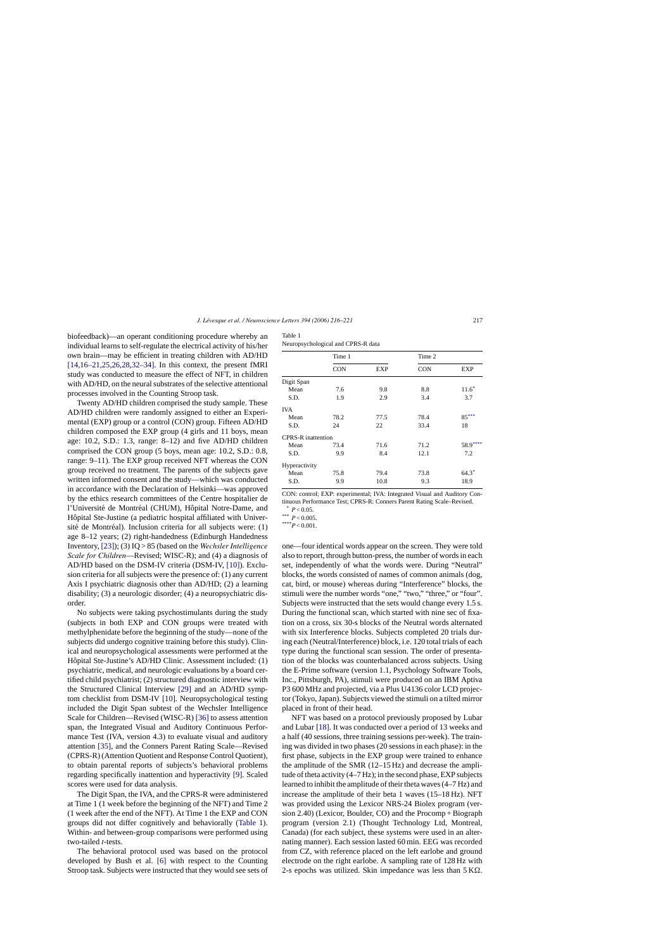<span id="page-1-0"></span>biofeedback)—an operant conditioning procedure whereby an individual learns to self-regulate the electrical activity of his/her own brain—may be efficient in treating children with AD/HD [\[14,16–21,25,26,28,32–34\].](#page-4-0) In this context, the present fMRI study was conducted to measure the effect of NFT, in children with AD/HD, on the neural substrates of the selective attentional processes involved in the Counting Stroop task.

Twenty AD/HD children comprised the study sample. These AD/HD children were randomly assigned to either an Experimental (EXP) group or a control (CON) group. Fifteen AD/HD children composed the EXP group (4 girls and 11 boys, mean age: 10.2, S.D.: 1.3, range: 8–12) and five AD/HD children comprised the CON group (5 boys, mean age: 10.2, S.D.: 0.8, range: 9–11). The EXP group received NFT whereas the CON group received no treatment. The parents of the subjects gave written informed consent and the study—which was conducted in accordance with the Declaration of Helsinki—was approved by the ethics research committees of the Centre hospitalier de l'Université de Montréal (CHUM), Hôpital Notre-Dame, and Hôpital Ste-Justine (a pediatric hospital affiliated with Université de Montréal). Inclusion criteria for all subjects were:  $(1)$ age 8–12 years; (2) right-handedness (Edinburgh Handedness Inventory, [\[23\]\);](#page-5-0) (3) IQ > 85 (based on the *Wechsler Intelligence Scale for Children*—Revised; WISC-R); and (4) a diagnosis of AD/HD based on the DSM-IV criteria (DSM-IV, [\[10\]\).](#page-4-0) Exclusion criteria for all subjects were the presence of: (1) any current Axis I psychiatric diagnosis other than AD/HD; (2) a learning disability; (3) a neurologic disorder; (4) a neuropsychiatric disorder.

No subjects were taking psychostimulants during the study (subjects in both EXP and CON groups were treated with methylphenidate before the beginning of the study—none of the subjects did undergo cognitive training before this study). Clinical and neuropsychological assessments were performed at the Hôpital Ste-Justine's AD/HD Clinic. Assessment included: (1) psychiatric, medical, and neurologic evaluations by a board certified child psychiatrist; (2) structured diagnostic interview with the Structured Clinical Interview [\[29\]](#page-5-0) and an AD/HD symptom checklist from DSM-IV [\[10\].](#page-4-0) Neuropsychological testing included the Digit Span subtest of the Wechsler Intelligence Scale for Children—Revised (WISC-R) [\[36\]](#page-5-0) to assess attention span, the Integrated Visual and Auditory Continuous Performance Test (IVA, version 4.3) to evaluate visual and auditory attention [\[35\],](#page-5-0) and the Conners Parent Rating Scale—Revised (CPRS-R) (Attention Quotient and Response Control Quotient), to obtain parental reports of subjects's behavioral problems regarding specifically inattention and hyperactivity [\[9\].](#page-4-0) Scaled scores were used for data analysis.

The Digit Span, the IVA, and the CPRS-R were administered at Time 1 (1 week before the beginning of the NFT) and Time 2 (1 week after the end of the NFT). At Time 1 the EXP and CON groups did not differ cognitively and behaviorally (Table 1). Within- and between-group comparisons were performed using two-tailed *t*-tests.

The behavioral protocol used was based on the protocol developed by Bush et al. [\[6\]](#page-4-0) with respect to the Counting Stroop task. Subjects were instructed that they would see sets of

| ı<br>×<br>۹<br>۰.<br>× |
|------------------------|
|------------------------|

| Neuropsychological and CPRS-R data |  |  |  |  |
|------------------------------------|--|--|--|--|
|------------------------------------|--|--|--|--|

|                           | Time 2<br>Time 1<br><b>CON</b><br>EXP<br><b>CON</b> |      |      |           |
|---------------------------|-----------------------------------------------------|------|------|-----------|
|                           |                                                     |      | EXP  |           |
| Digit Span                |                                                     |      |      |           |
| Mean                      | 7.6                                                 | 9.8  | 8.8  | $11.6*$   |
| S.D.                      | 1.9                                                 | 2.9  | 3.4  | 3.7       |
| IVA                       |                                                     |      |      |           |
| Mean                      | 78.2                                                | 77.5 | 78.4 | $85***$   |
| S.D.                      | 24                                                  | 22   | 33.4 | 18        |
| <b>CPRS-R</b> inattention |                                                     |      |      |           |
| Mean                      | 73.4                                                | 71.6 | 71.2 | $58.9***$ |
| S.D.                      | 9.9                                                 | 8.4  | 12.1 | 7.2       |
| Hyperactivity             |                                                     |      |      |           |
| Mean                      | 75.8                                                | 79.4 | 73.8 | $64.3*$   |
| S.D.                      | 9.9                                                 | 10.8 | 9.3  | 18.9      |

CON: control; EXP: experimental; IVA: Integrated Visual and Auditory Continuous Performance Test; CPRS-R: Conners Parent Rating Scale–Revised.

 $*$   $P < 0.05$ .

\*\*\*  $P < 0.005$ .

\*\*\*\**P* < 0.001

one—four identical words appear on the screen. They were told also to report, through button-press, the number of words in each set, independently of what the words were. During "Neutral" blocks, the words consisted of names of common animals (dog, cat, bird, or mouse) whereas during "Interference" blocks, the stimuli were the number words "one," "two," "three," or "four". Subjects were instructed that the sets would change every 1.5 s. During the functional scan, which started with nine sec of fixation on a cross, six 30-s blocks of the Neutral words alternated with six Interference blocks. Subjects completed 20 trials during each (Neutral/Interference) block, i.e. 120 total trials of each type during the functional scan session. The order of presentation of the blocks was counterbalanced across subjects. Using the E-Prime software (version 1.1, Psychology Software Tools, Inc., Pittsburgh, PA), stimuli were produced on an IBM Aptiva P3 600 MHz and projected, via a Plus U4136 color LCD projector (Tokyo, Japan). Subjects viewed the stimuli on a tilted mirror placed in front of their head.

NFT was based on a protocol previously proposed by Lubar and Lubar [\[18\]. I](#page-4-0)t was conducted over a period of 13 weeks and a half (40 sessions, three training sessions per-week). The training was divided in two phases (20 sessions in each phase): in the first phase, subjects in the EXP group were trained to enhance the amplitude of the SMR (12–15 Hz) and decrease the amplitude of theta activity (4–7 Hz); in the second phase, EXP subjects learned to inhibit the amplitude of their theta waves (4–7 Hz) and increase the amplitude of their beta 1 waves (15–18 Hz). NFT was provided using the Lexicor NRS-24 Biolex program (version 2.40) (Lexicor, Boulder, CO) and the Procomp + Biograph program (version 2.1) (Thought Technology Ltd, Montreal, Canada) (for each subject, these systems were used in an alternating manner). Each session lasted 60 min. EEG was recorded from CZ, with reference placed on the left earlobe and ground electrode on the right earlobe. A sampling rate of 128 Hz with 2-s epochs was utilized. Skin impedance was less than  $5 K\Omega$ .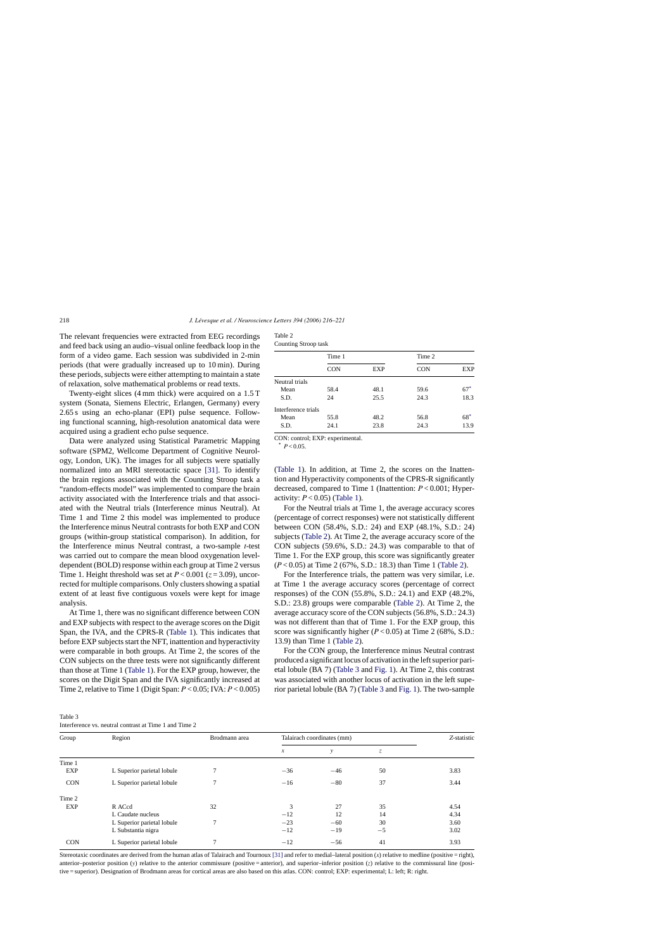<span id="page-2-0"></span>The relevant frequencies were extracted from EEG recordings and feed back using an audio–visual online feedback loop in the form of a video game. Each session was subdivided in 2-min periods (that were gradually increased up to 10 min). During these periods, subjects were either attempting to maintain a state of relaxation, solve mathematical problems or read texts.

Twenty-eight slices (4 mm thick) were acquired on a 1.5 T system (Sonata, Siemens Electric, Erlangen, Germany) every 2.65 s using an echo-planar (EPI) pulse sequence. Following functional scanning, high-resolution anatomical data were acquired using a gradient echo pulse sequence.

Data were analyzed using Statistical Parametric Mapping software (SPM2, Wellcome Department of Cognitive Neurology, London, UK). The images for all subjects were spatially normalized into an MRI stereotactic space [\[31\].](#page-5-0) To identify the brain regions associated with the Counting Stroop task a "random-effects model" was implemented to compare the brain activity associated with the Interference trials and that associated with the Neutral trials (Interference minus Neutral). At Time 1 and Time 2 this model was implemented to produce the Interference minus Neutral contrasts for both EXP and CON groups (within-group statistical comparison). In addition, for the Interference minus Neutral contrast, a two-sample *t*-test was carried out to compare the mean blood oxygenation leveldependent (BOLD) response within each group at Time 2 versus Time 1. Height threshold was set at  $P < 0.001$  ( $z = 3.09$ ), uncorrected for multiple comparisons. Only clusters showing a spatial extent of at least five contiguous voxels were kept for image analysis.

At Time 1, there was no significant difference between CON and EXP subjects with respect to the average scores on the Digit Span, the IVA, and the CPRS-R [\(Table 1\).](#page-1-0) This indicates that before EXP subjects start the NFT, inattention and hyperactivity were comparable in both groups. At Time 2, the scores of the CON subjects on the three tests were not significantly different than those at Time 1 ([Table 1\).](#page-1-0) For the EXP group, however, the scores on the Digit Span and the IVA significantly increased at Time 2, relative to Time 1 (Digit Span: *P* < 0.05; IVA: *P* < 0.005)

## Table 3

| Interference vs. neutral contrast at Time 1 and Time 2 |                            |               |                            |               |      |             |  |
|--------------------------------------------------------|----------------------------|---------------|----------------------------|---------------|------|-------------|--|
| Group                                                  | Region                     | Brodmann area | Talairach coordinates (mm) |               |      | Z-statistic |  |
|                                                        |                            |               | $\boldsymbol{x}$           | $\mathcal{Y}$ | Z,   |             |  |
| Time 1                                                 |                            |               |                            |               |      |             |  |
| EXP                                                    | L Superior parietal lobule |               | $-36$                      | $-46$         | 50   | 3.83        |  |
| <b>CON</b>                                             | L Superior parietal lobule | $\mathcal{I}$ | $-16$                      | $-80$         | 37   | 3.44        |  |
| Time 2                                                 |                            |               |                            |               |      |             |  |
| <b>EXP</b>                                             | R ACcd                     | 32            | 3                          | 27            | 35   | 4.54        |  |
|                                                        | L Caudate nucleus          |               | $-12$                      | 12            | 14   | 4.34        |  |
|                                                        | L Superior parietal lobule | 7             | $-23$                      | $-60$         | 30   | 3.60        |  |
|                                                        | L Substantia nigra         |               | $-12$                      | $-19$         | $-5$ | 3.02        |  |
| <b>CON</b>                                             | L Superior parietal lobule |               | $-12$                      | $-56$         | 41   | 3.93        |  |

Stereotaxic coordinates are derived from the human atlas of Talairach and Tournoux [\[31\]](#page-5-0) and refer to medial–lateral position  $(x)$  relative to medline (positive = right), anterior–posterior position (*y*) relative to the anterior commissure (positive = anterior), and superior–inferior position (*z*) relative to the commissural line (positive = superior). Designation of Brodmann areas for cortical areas are also based on this atlas. CON: control; EXP: experimental; L: left; R: right.

| ante |  |
|------|--|
|------|--|

| <b>Counting Stroop task</b> |  |  |
|-----------------------------|--|--|
|-----------------------------|--|--|

|                     | Time 1     |      |            |       |
|---------------------|------------|------|------------|-------|
|                     | <b>CON</b> | EXP  | <b>CON</b> | EXP   |
| Neutral trials      |            |      |            |       |
| Mean                | 58.4       | 48.1 | 59.6       | $67*$ |
| S.D.                | 24         | 25.5 | 24.3       | 18.3  |
| Interference trials |            |      |            |       |
| Mean                | 55.8       | 48.2 | 56.8       | $68*$ |
| S.D.                | 24.1       | 23.8 | 24.3       | 13.9  |

CON: control; EXP: experimental.

 $*$  *P*  $\geq$  0.05

[\(Table 1\)](#page-1-0). In addition, at Time 2, the scores on the Inattention and Hyperactivity components of the CPRS-R significantly decreased, compared to Time 1 (Inattention: *P* < 0.001; Hyperactivity: *P* < 0.05) [\(Table 1\).](#page-1-0)

For the Neutral trials at Time 1, the average accuracy scores (percentage of correct responses) were not statistically different between CON (58.4%, S.D.: 24) and EXP (48.1%, S.D.: 24) subjects (Table 2). At Time 2, the average accuracy score of the CON subjects (59.6%, S.D.: 24.3) was comparable to that of Time 1. For the EXP group, this score was significantly greater (*P* < 0.05) at Time 2 (67%, S.D.: 18.3) than Time 1 (Table 2).

For the Interference trials, the pattern was very similar, i.e. at Time 1 the average accuracy scores (percentage of correct responses) of the CON (55.8%, S.D.: 24.1) and EXP (48.2%, S.D.: 23.8) groups were comparable (Table 2). At Time 2, the average accuracy score of the CON subjects (56.8%, S.D.: 24.3) was not different than that of Time 1. For the EXP group, this score was significantly higher  $(P<0.05)$  at Time 2 (68%, S.D.: 13.9) than Time 1 (Table 2).

For the CON group, the Interference minus Neutral contrast produced a significant locus of activation in the left superior parietal lobule (BA 7) (Table 3 and [Fig. 1\).](#page-3-0) At Time 2, this contrast was associated with another locus of activation in the left superior parietal lobule (BA 7) (Table 3 and [Fig. 1\).](#page-3-0) The two-sample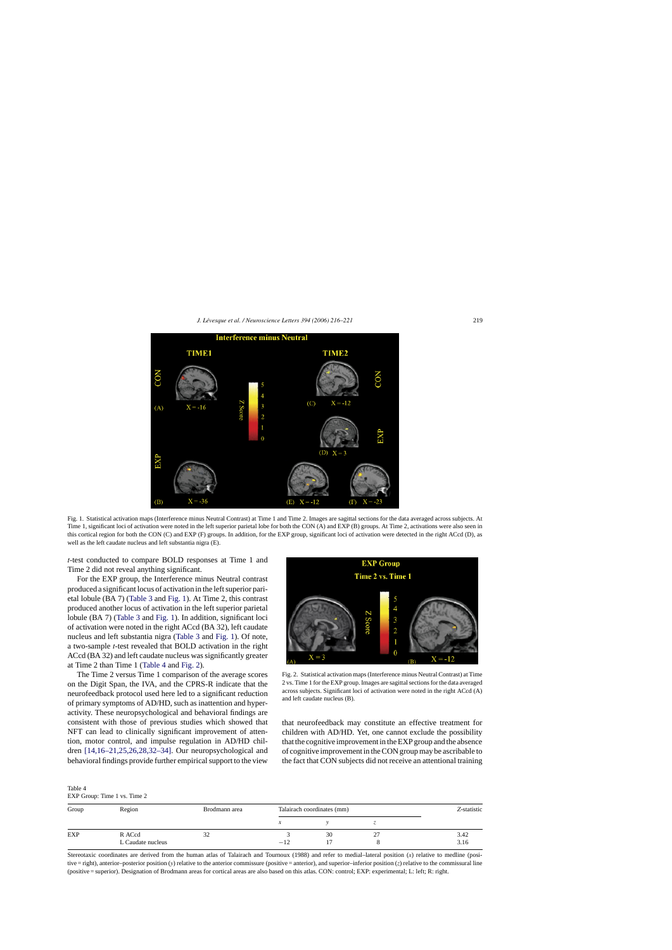<span id="page-3-0"></span>

Fig. 1. Statistical activation maps (Interference minus Neutral Contrast) at Time 1 and Time 2. Images are sagittal sections for the data averaged across subjects. At Time 1, significant loci of activation were noted in the left superior parietal lobe for both the CON (A) and EXP (B) groups. At Time 2, activations were also seen in this cortical region for both the CON (C) and EXP (F) groups. In addition, for the EXP group, significant loci of activation were detected in the right ACcd (D), as well as the left caudate nucleus and left substantia nigra (E).

*t*-test conducted to compare BOLD responses at Time 1 and Time 2 did not reveal anything significant.

For the EXP group, the Interference minus Neutral contrast produced a significant locus of activation in the left superior parietal lobule (BA 7) ([Table 3](#page-2-0) and Fig. 1). At Time 2, this contrast produced another locus of activation in the left superior parietal lobule (BA 7) ([Table 3](#page-2-0) and Fig. 1). In addition, significant loci of activation were noted in the right ACcd (BA 32), left caudate nucleus and left substantia nigra ([Table 3](#page-2-0) and Fig. 1). Of note, a two-sample *t*-test revealed that BOLD activation in the right ACcd (BA 32) and left caudate nucleus was significantly greater at Time 2 than Time 1 (Table 4 and Fig. 2).

The Time 2 versus Time 1 comparison of the average scores on the Digit Span, the IVA, and the CPRS-R indicate that the neurofeedback protocol used here led to a significant reduction of primary symptoms of AD/HD, such as inattention and hyperactivity. These neuropsychological and behavioral findings are consistent with those of previous studies which showed that NFT can lead to clinically significant improvement of attention, motor control, and impulse regulation in AD/HD children [\[14,16–21,25,26,28,32–34\].](#page-4-0) Our neuropsychological and behavioral findings provide further empirical support to the view



Fig. 2. Statistical activation maps (Interference minus Neutral Contrast) at Time 2 vs. Time 1 for the EXP group. Images are sagittal sections for the data averaged across subjects. Significant loci of activation were noted in the right ACcd (A) and left caudate nucleus (B).

that neurofeedback may constitute an effective treatment for children with AD/HD. Yet, one cannot exclude the possibility that the cognitive improvement in the EXP group and the absence of cognitive improvement in the CON group may be ascribable to the fact that CON subjects did not receive an attentional training

Table 4

EXP Group: Time 1 vs. Time 2

| Group      | Region            | Brodmann area | Talairach coordinates (mm) |    |    | Z-statistic |
|------------|-------------------|---------------|----------------------------|----|----|-------------|
|            |                   |               |                            |    |    |             |
| <b>EXP</b> | R ACcd            | 32            |                            | 30 | 27 | 3.42        |
|            | L Caudate nucleus |               | $-12$                      |    |    | 3.16        |

Stereotaxic coordinates are derived from the human atlas of Talairach and Tournoux (1988) and refer to medial–lateral position (*x*) relative to medline (positive = right), anterior–posterior position (*y*) relative to the anterior commissure (positive = anterior), and superior–inferior position (*z*) relative to the commissural line (positive = superior). Designation of Brodmann areas for cortical areas are also based on this atlas. CON: control; EXP: experimental; L: left; R: right.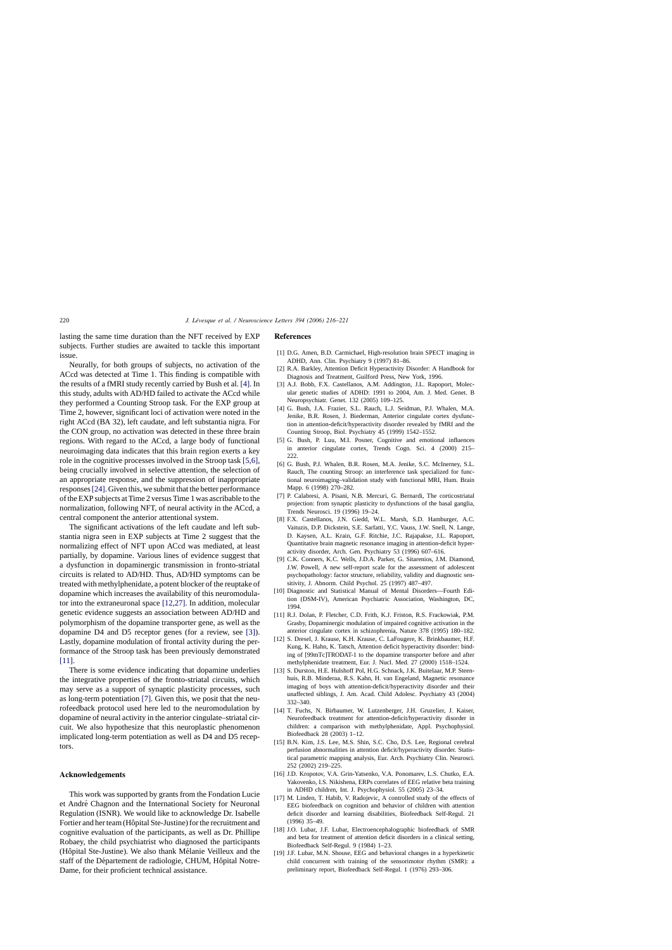<span id="page-4-0"></span>lasting the same time duration than the NFT received by EXP subjects. Further studies are awaited to tackle this important issue.

Neurally, for both groups of subjects, no activation of the ACcd was detected at Time 1. This finding is compatible with the results of a fMRI study recently carried by Bush et al. [4]. In this study, adults with AD/HD failed to activate the ACcd while they performed a Counting Stroop task. For the EXP group at Time 2, however, significant loci of activation were noted in the right ACcd (BA 32), left caudate, and left substantia nigra. For the CON group, no activation was detected in these three brain regions. With regard to the ACcd, a large body of functional neuroimaging data indicates that this brain region exerts a key role in the cognitive processes involved in the Stroop task [5,6], being crucially involved in selective attention, the selection of an appropriate response, and the suppression of inappropriate responses[\[24\]. G](#page-5-0)iven this, we submit that the better performance of the EXP subjects at Time 2 versus Time 1 was ascribable to the normalization, following NFT, of neural activity in the ACcd, a central component the anterior attentional system.

The significant activations of the left caudate and left substantia nigra seen in EXP subjects at Time 2 suggest that the normalizing effect of NFT upon ACcd was mediated, at least partially, by dopamine. Various lines of evidence suggest that a dysfunction in dopaminergic transmission in fronto-striatal circuits is related to AD/HD. Thus, AD/HD symptoms can be treated with methylphenidate, a potent blocker of the reuptake of dopamine which increases the availability of this neuromodulator into the extraneuronal space [12,27]. In addition, molecular genetic evidence suggests an association between AD/HD and polymorphism of the dopamine transporter gene, as well as the dopamine D4 and D5 receptor genes (for a review, see [3]). Lastly, dopamine modulation of frontal activity during the performance of the Stroop task has been previously demonstrated [11].

There is some evidence indicating that dopamine underlies the integrative properties of the fronto-striatal circuits, which may serve as a support of synaptic plasticity processes, such as long-term potentiation [7]. Given this, we posit that the neurofeedback protocol used here led to the neuromodulation by dopamine of neural activity in the anterior cingulate–striatal circuit. We also hypothesize that this neuroplastic phenomenon implicated long-term potentiation as well as D4 and D5 receptors.

### **Acknowledgements**

This work was supported by grants from the Fondation Lucie et André Chagnon and the International Society for Neuronal Regulation (ISNR). We would like to acknowledge Dr. Isabelle Fortier and her team (Hôpital Ste-Justine) for the recruitment and cognitive evaluation of the participants, as well as Dr. Phillipe Robaey, the child psychiatrist who diagnosed the participants (Hôpital Ste-Justine). We also thank Mélanie Veilleux and the staff of the Département de radiologie, CHUM, Hôpital Notre-Dame, for their proficient technical assistance.

#### **References**

- [1] D.G. Amen, B.D. Carmichael, High-resolution brain SPECT imaging in ADHD, Ann. Clin. Psychiatry 9 (1997) 81–86.
- [2] R.A. Barkley, Attention Deficit Hyperactivity Disorder: A Handbook for Diagnosis and Treatment, Guilford Press, New York, 1996.
- [3] A.J. Bobb, F.X. Castellanos, A.M. Addington, J.L. Rapoport, Molecular genetic studies of ADHD: 1991 to 2004, Am. J. Med. Genet. B Neuropsychiatr. Genet. 132 (2005) 109–125.
- [4] G. Bush, J.A. Frazier, S.L. Rauch, L.J. Seidman, P.J. Whalen, M.A. Jenike, B.R. Rosen, J. Biederman, Anterior cingulate cortex dysfunction in attention-deficit/hyperactivity disorder revealed by fMRI and the Counting Stroop, Biol. Psychiatry 45 (1999) 1542–1552.
- [5] G. Bush, P. Luu, M.I. Posner, Cognitive and emotional influences in anterior cingulate cortex, Trends Cogn. Sci. 4 (2000) 215–  $222$
- [6] G. Bush, P.J. Whalen, B.R. Rosen, M.A. Jenike, S.C. McInerney, S.L. Rauch, The counting Stroop: an interference task specialized for functional neuroimaging–validation study with functional MRI, Hum. Brain Mapp. 6 (1998) 270–282.
- [7] P. Calabresi, A. Pisani, N.B. Mercuri, G. Bernardi, The corticostriatal projection: from synaptic plasticity to dysfunctions of the basal ganglia, Trends Neurosci. 19 (1996) 19–24.
- [8] F.X. Castellanos, J.N. Giedd, W.L. Marsh, S.D. Hamburger, A.C. Vaituzis, D.P. Dickstein, S.E. Sarfatti, Y.C. Vauss, J.W. Snell, N. Lange, D. Kaysen, A.L. Krain, G.F. Ritchie, J.C. Rajapakse, J.L. Rapoport, Quantitative brain magnetic resonance imaging in attention-deficit hyperactivity disorder, Arch. Gen. Psychiatry 53 (1996) 607–616.
- [9] C.K. Conners, K.C. Wells, J.D.A. Parker, G. Sitarenios, J.M. Diamond, J.W. Powell, A new self-report scale for the assessment of adolescent psychopathology: factor structure, reliability, validity and diagnostic sensitivity, J. Abnorm. Child Psychol. 25 (1997) 487–497.
- [10] Diagnostic and Statistical Manual of Mental Disorders—Fourth Edition (DSM-IV), American Psychiatric Association, Washington, DC, 1994.
- [11] R.J. Dolan, P. Fletcher, C.D. Frith, K.J. Friston, R.S. Frackowiak, P.M. Grasby, Dopaminergic modulation of impaired cognitive activation in the anterior cingulate cortex in schizophrenia, Nature 378 (1995) 180–182.
- [12] S. Dresel, J. Krause, K.H. Krause, C. LaFougere, K. Brinkbaumer, H.F. Kung, K. Hahn, K. Tatsch, Attention deficit hyperactivity disorder: binding of [99mTc]TRODAT-1 to the dopamine transporter before and after methylphenidate treatment, Eur. J. Nucl. Med. 27 (2000) 1518–1524.
- [13] S. Durston, H.E. Hulshoff Pol, H.G. Schnack, J.K. Buitelaar, M.P. Steenhuis, R.B. Minderaa, R.S. Kahn, H. van Engeland, Magnetic resonance imaging of boys with attention-deficit/hyperactivity disorder and their unaffected siblings, J. Am. Acad. Child Adolesc. Psychiatry 43 (2004) 332–340.
- [14] T. Fuchs, N. Birbaumer, W. Lutzenberger, J.H. Gruzelier, J. Kaiser, Neurofeedback treatment for attention-deficit/hyperactivity disorder in children: a comparison with methylphenidate, Appl. Psychophysiol. Biofeedback 28 (2003) 1–12.
- [15] B.N. Kim, J.S. Lee, M.S. Shin, S.C. Cho, D.S. Lee, Regional cerebral perfusion abnormalities in attention deficit/hyperactivity disorder. Statistical parametric mapping analysis, Eur. Arch. Psychiatry Clin. Neurosci. 252 (2002) 219–225.
- [16] J.D. Kropotov, V.A. Grin-Yatsenko, V.A. Ponomarev, L.S. Chutko, E.A. Yakovenko, I.S. Nikishena, ERPs correlates of EEG relative beta training in ADHD children, Int. J. Psychophysiol. 55 (2005) 23–34.
- [17] M. Linden, T. Habib, V. Radojevic, A controlled study of the effects of EEG biofeedback on cognition and behavior of children with attention deficit disorder and learning disabilities, Biofeedback Self-Regul. 21 (1996) 35–49.
- [18] J.O. Lubar, J.F. Lubar, Electroencephalographic biofeedback of SMR and beta for treatment of attention deficit disorders in a clinical setting, Biofeedback Self-Regul. 9 (1984) 1–23.
- [19] J.F. Lubar, M.N. Shouse, EEG and behavioral changes in a hyperkinetic child concurrent with training of the sensorimotor rhythm (SMR): a preliminary report, Biofeedback Self-Regul. 1 (1976) 293–306.